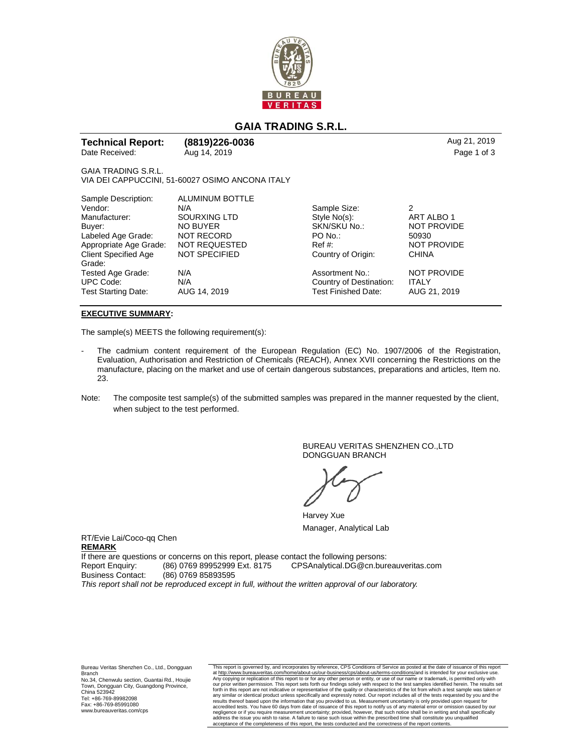

# **GAIA TRADING S.R.L.**

| (8819)226-0036<br><b>Technical Report:</b><br>Aug 14, 2019<br>Date Received: |                                                 |                         | Aug 21, 2019<br>Page 1 of 3 |  |
|------------------------------------------------------------------------------|-------------------------------------------------|-------------------------|-----------------------------|--|
| <b>GAIA TRADING S.R.L.</b>                                                   | VIA DEI CAPPUCCINI, 51-60027 OSIMO ANCONA ITALY |                         |                             |  |
| Sample Description:                                                          | <b>ALUMINUM BOTTLE</b>                          |                         |                             |  |
| Vendor:                                                                      | N/A                                             | Sample Size:            | 2                           |  |
| Manufacturer:                                                                | SOURXING LTD                                    | Style No(s):            | ART ALBO 1                  |  |
| Buyer:                                                                       | <b>NO BUYER</b>                                 | SKN/SKU No.:            | <b>NOT PROVIDE</b>          |  |
| Labeled Age Grade:                                                           | <b>NOT RECORD</b>                               | PO No.:                 | 50930                       |  |
| Appropriate Age Grade:                                                       | NOT REQUESTED                                   | Ref #:                  | <b>NOT PROVIDE</b>          |  |
| <b>Client Specified Age</b>                                                  | <b>NOT SPECIFIED</b>                            | Country of Origin:      | <b>CHINA</b>                |  |
| Grade:                                                                       |                                                 |                         |                             |  |
| Tested Age Grade:                                                            | N/A                                             | Assortment No.:         | <b>NOT PROVIDE</b>          |  |
| <b>UPC Code:</b>                                                             | N/A                                             | Country of Destination: | <b>ITALY</b>                |  |
| <b>Test Starting Date:</b>                                                   | AUG 14, 2019                                    | Test Finished Date:     | AUG 21, 2019                |  |

#### **EXECUTIVE SUMMARY:**

The sample(s) MEETS the following requirement(s):

- The cadmium content requirement of the European Regulation (EC) No. 1907/2006 of the Registration, Evaluation, Authorisation and Restriction of Chemicals (REACH), Annex XVII concerning the Restrictions on the manufacture, placing on the market and use of certain dangerous substances, preparations and articles, Item no. 23.
- Note: The composite test sample(s) of the submitted samples was prepared in the manner requested by the client, when subject to the test performed.

BUREAU VERITAS SHENZHEN CO.,LTD DONGGUAN BRANCH

Harvey Xue Manager, Analytical Lab

If there are questions or concerns on this report, please contact the following persons:<br>Report Enquiry: (86) 0769 89952999 Ext. 8175 CPSAnalytical.DG@cn.bur  $CP$ SAnalytical.DG@cn.bureauveritas.com Business Contact: (86) 0769 85893595 This report shall not be reproduced except in full, without the written approval of our laboratory.

Bureau Veritas Shenzhen Co., Ltd., Dongguan Branch No.34, Chenwulu section, Guantai Rd., Houjie Town, Dongguan City, Guangdong Province, China 523942 Tel: +86-769-89982098 Fax: +86-769-85991080 www.bureauveritas.com/cps

This report is governed by, and incorporates by reference, CPS Conditions of Service as posted at the date of issuance of this report<br>at <u>http://www.bureauveritas.com/home/about-us/our-business/cps/about-us/terms-condition</u> Any copying or replication of this report to or for any other person or entity, or use of our name or trademark, is permitted only with<br>our prior written permission. This report sets forth our findings solely with respect results thereof based upon the information that you provided to us. Measurement uncertainty is only provided upon request for<br>accredited tests. You have 60 days from date of issuance of this report to notify us of any mate

RT/Evie Lai/Coco-qq Chen **REMARK**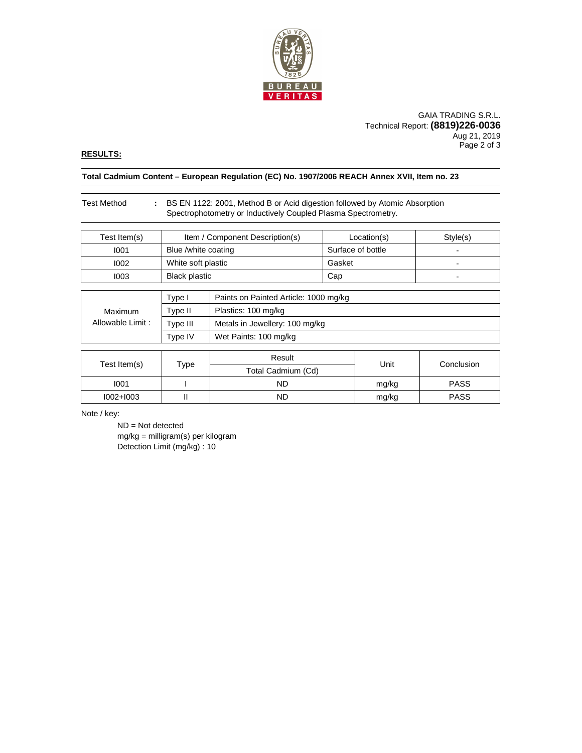

GAIA TRADING S.R.L. Technical Report: **(8819)226-0036** Aug 21, 2019 Page 2 of 3

## **RESULTS:**

## **Total Cadmium Content – European Regulation (EC) No. 1907/2006 REACH Annex XVII, Item no. 23**

#### Test Method **:** BS EN 1122: 2001, Method B or Acid digestion followed by Atomic Absorption Spectrophotometry or Inductively Coupled Plasma Spectrometry.

| Test Item(s) | Item / Component Description(s) | Location(s)       | Stvle(s) |
|--------------|---------------------------------|-------------------|----------|
| 1001         | Blue /white coating             | Surface of bottle | -        |
| 1002         | White soft plastic              | Gasket            |          |
| 1003         | Black plastic                   | Cap               |          |

| Maximum<br>Allowable Limit: | Tvpe I   | Paints on Painted Article: 1000 mg/kg |
|-----------------------------|----------|---------------------------------------|
|                             | Type II  | Plastics: 100 mg/kg                   |
|                             | Tvpe III | Metals in Jewellery: 100 mg/kg        |
|                             | Tvpe IV  | Wet Paints: 100 mg/kg                 |

| Test Item(s)  | Type | Result             | Unit  | Conclusion  |
|---------------|------|--------------------|-------|-------------|
|               |      | Total Cadmium (Cd) |       |             |
| 1001          |      | ND                 | mg/kg | <b>PASS</b> |
| $1002 + 1003$ |      | ND                 | mg/kg | <b>PASS</b> |

Note / key:

 ND = Not detected mg/kg = milligram(s) per kilogram Detection Limit (mg/kg) : 10